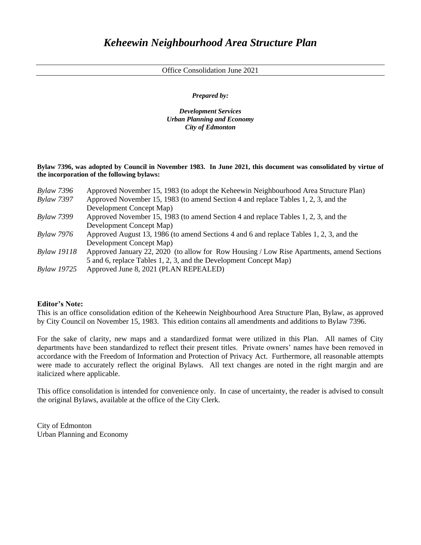Office Consolidation June 2021

*Prepared by:*

*Development Services Urban Planning and Economy City of Edmonton*

**Bylaw 7396, was adopted by Council in November 1983. In June 2021, this document was consolidated by virtue of the incorporation of the following bylaws:**

| <b>Bylaw 7396</b>  | Approved November 15, 1983 (to adopt the Keheewin Neighbourhood Area Structure Plan)      |
|--------------------|-------------------------------------------------------------------------------------------|
| <b>Bylaw 7397</b>  | Approved November 15, 1983 (to amend Section 4 and replace Tables 1, 2, 3, and the        |
|                    | Development Concept Map)                                                                  |
| <b>Bylaw 7399</b>  | Approved November 15, 1983 (to amend Section 4 and replace Tables 1, 2, 3, and the        |
|                    | Development Concept Map)                                                                  |
| <b>Bylaw 7976</b>  | Approved August 13, 1986 (to amend Sections 4 and 6 and replace Tables 1, 2, 3, and the   |
|                    | Development Concept Map)                                                                  |
| <b>Bylaw 19118</b> | Approved January 22, 2020 (to allow for Row Housing / Low Rise Apartments, amend Sections |
|                    | 5 and 6, replace Tables 1, 2, 3, and the Development Concept Map)                         |
| <b>Bylaw 19725</b> | Approved June 8, 2021 (PLAN REPEALED)                                                     |

## **Editor's Note:**

This is an office consolidation edition of the Keheewin Neighbourhood Area Structure Plan, Bylaw, as approved by City Council on November 15, 1983. This edition contains all amendments and additions to Bylaw 7396.

For the sake of clarity, new maps and a standardized format were utilized in this Plan. All names of City departments have been standardized to reflect their present titles. Private owners' names have been removed in accordance with the Freedom of Information and Protection of Privacy Act. Furthermore, all reasonable attempts were made to accurately reflect the original Bylaws. All text changes are noted in the right margin and are italicized where applicable.

This office consolidation is intended for convenience only. In case of uncertainty, the reader is advised to consult the original Bylaws, available at the office of the City Clerk.

City of Edmonton Urban Planning and Economy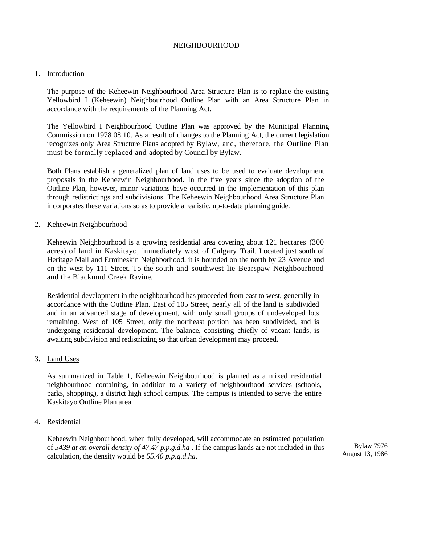#### NEIGHBOURHOOD

#### 1. Introduction

The purpose of the Keheewin Neighbourhood Area Structure Plan is to replace the existing Yellowbird I (Keheewin) Neighbourhood Outline Plan with an Area Structure Plan in accordance with the requirements of the Planning Act.

The Yellowbird I Neighbourhood Outline Plan was approved by the Municipal Planning Commission on 1978 08 10. As a result of changes to the Planning Act, the current legislation recognizes only Area Structure Plans adopted by Bylaw, and, therefore, the Outline Plan must be formally replaced and adopted by Council by Bylaw.

Both Plans establish a generalized plan of land uses to be used to evaluate development proposals in the Keheewin Neighbourhood. In the five years since the adoption of the Outline Plan, however, minor variations have occurred in the implementation of this plan through redistrictings and subdivisions. The Keheewin Neighbourhood Area Structure Plan incorporates these variations so as to provide a realistic, up-to-date planning guide.

#### 2. Keheewin Neighbourhood

Keheewin Neighbourhood is a growing residential area covering about 121 hectares (300 acres) of land in Kaskitayo, immediately west of Calgary Trail. Located just south of Heritage Mall and Ermineskin Neighborhood, it is bounded on the north by 23 Avenue and on the west by 111 Street. To the south and southwest lie Bearspaw Neighbourhood and the Blackmud Creek Ravine.

Residential development in the neighbourhood has proceeded from east to west, generally in accordance with the Outline Plan. East of 105 Street, nearly all of the land is subdivided and in an advanced stage of development, with only small groups of undeveloped lots remaining. West of 105 Street, only the northeast portion has been subdivided, and is undergoing residential development. The balance, consisting chiefly of vacant lands, is awaiting subdivision and redistricting so that urban development may proceed.

#### 3. Land Uses

As summarized in Table 1, Keheewin Neighbourhood is planned as a mixed residential neighbourhood containing, in addition to a variety of neighbourhood services (schools, parks, shopping), a district high school campus. The campus is intended to serve the entire Kaskitayo Outline Plan area.

#### 4. Residential

Keheewin Neighbourhood, when fully developed, will accommodate an estimated population of *5439 at an overall density of 47.47 p.p.g.d.ha* . If the campus lands are not included in this calculation, the density would be *55.40 p.p.g.d.ha.*

Bylaw 7976 August 13, 1986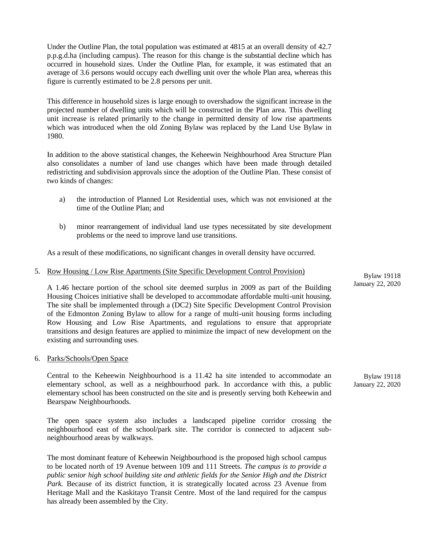Under the Outline Plan, the total population was estimated at 4815 at an overall density of 42.7 p.p.g.d.ha (including campus). The reason for this change is the substantial decline which has occurred in household sizes. Under the Outline Plan, for example, it was estimated that an average of 3.6 persons would occupy each dwelling unit over the whole Plan area, whereas this figure is currently estimated to be 2.8 persons per unit.

This difference in household sizes is large enough to overshadow the significant increase in the projected number of dwelling units which will be constructed in the Plan area. This dwelling unit increase is related primarily to the change in permitted density of low rise apartments which was introduced when the old Zoning Bylaw was replaced by the Land Use Bylaw in 1980.

In addition to the above statistical changes, the Keheewin Neighbourhood Area Structure Plan also consolidates a number of land use changes which have been made through detailed redistricting and subdivision approvals since the adoption of the Outline Plan. These consist of two kinds of changes:

- a) the introduction of Planned Lot Residential uses, which was not envisioned at the time of the Outline Plan; and
- b) minor rearrangement of individual land use types necessitated by site development problems or the need to improve land use transitions.

As a result of these modifications, no significant changes in overall density have occurred.

#### 5. Row Housing / Low Rise Apartments (Site Specific Development Control Provision)

A 1.46 hectare portion of the school site deemed surplus in 2009 as part of the Building Housing Choices initiative shall be developed to accommodate affordable multi-unit housing. The site shall be implemented through a (DC2) Site Specific Development Control Provision of the Edmonton Zoning Bylaw to allow for a range of multi-unit housing forms including Row Housing and Low Rise Apartments, and regulations to ensure that appropriate transitions and design features are applied to minimize the impact of new development on the existing and surrounding uses.

#### 6. Parks/Schools/Open Space

Central to the Keheewin Neighbourhood is a 11.42 ha site intended to accommodate an elementary school, as well as a neighbourhood park. In accordance with this, a public elementary school has been constructed on the site and is presently serving both Keheewin and Bearspaw Neighbourhoods.

The open space system also includes a landscaped pipeline corridor crossing the neighbourhood east of the school/park site. The corridor is connected to adjacent subneighbourhood areas by walkways.

The most dominant feature of Keheewin Neighbourhood is the proposed high school campus to be located north of 19 Avenue between 109 and 111 Streets. *The campus is to provide a public senior high school building site and athletic fields for the Senior High and the District*  Park. Because of its district function, it is strategically located across 23 Avenue from Heritage Mall and the Kaskitayo Transit Centre. Most of the land required for the campus has already been assembled by the City.

Bylaw 19118 January 22, 2020

Bylaw 19118 January 22, 2020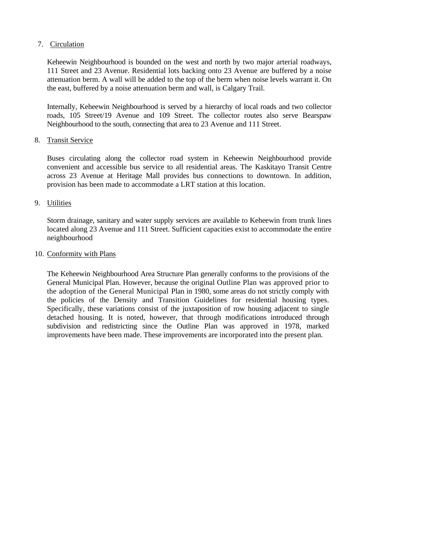## 7. Circulation

Keheewin Neighbourhood is bounded on the west and north by two major arterial roadways, 111 Street and 23 Avenue. Residential lots backing onto 23 Avenue are buffered by a noise attenuation berm. A wall will be added to the top of the berm when noise levels warrant it. On the east, buffered by a noise attenuation berm and wall, is Calgary Trail.

Internally, Keheewin Neighbourhood is served by a hierarchy of local roads and two collector roads, 105 Street/19 Avenue and 109 Street. The collector routes also serve Bearspaw Neighbourhood to the south, connecting that area to 23 Avenue and 111 Street.

## 8. Transit Service

Buses circulating along the collector road system in Keheewin Neighbourhood provide convenient and accessible bus service to all residential areas. The Kaskitayo Transit Centre across 23 Avenue at Heritage Mall provides bus connections to downtown. In addition, provision has been made to accommodate a LRT station at this location.

## 9. Utilities

Storm drainage, sanitary and water supply services are available to Keheewin from trunk lines located along 23 Avenue and 111 Street. Sufficient capacities exist to accommodate the entire neighbourhood

### 10. Conformity with Plans

The Keheewin Neighbourhood Area Structure Plan generally conforms to the provisions of the General Municipal Plan. However, because the original Outline Plan was approved prior to the adoption of the General Municipal Plan in 1980, some areas do not strictly comply with the policies of the Density and Transition Guidelines for residential housing types. Specifically, these variations consist of the juxtaposition of row housing adjacent to single detached housing. It is noted, however, that through modifications introduced through subdivision and redistricting since the Outline Plan was approved in 1978, marked improvements have been made. These improvements are incorporated into the present plan.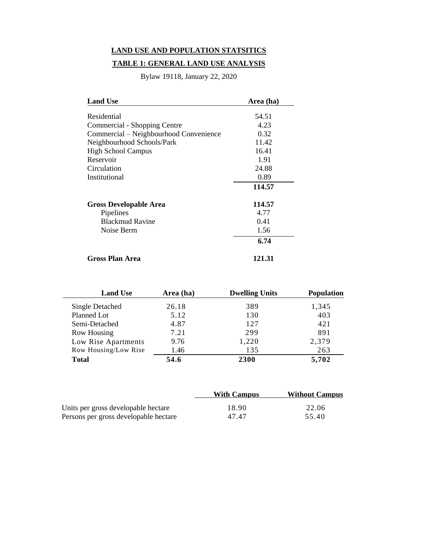# **LAND USE AND POPULATION STATSITICS**

# **TABLE 1: GENERAL LAND USE ANALYSIS**

Bylaw 19118, January 22, 2020

| <b>Land Use</b>                        | Area (ha) |
|----------------------------------------|-----------|
|                                        |           |
| Residential                            | 54.51     |
| Commercial - Shopping Centre           | 4.23      |
| Commercial – Neighbourhood Convenience | 0.32      |
| Neighbourhood Schools/Park             | 11.42     |
| <b>High School Campus</b>              | 16.41     |
| Reservoir                              | 1.91      |
| Circulation                            | 24.88     |
| Institutional                          | 0.89      |
|                                        | 114.57    |
| <b>Gross Developable Area</b>          | 114.57    |
| Pipelines                              | 4.77      |
| <b>Blackmud Ravine</b>                 | 0.41      |
| Noise Berm                             | 1.56      |
|                                        | 6.74      |
| Gross Plan Area                        | 121.31    |

| <b>Land Use</b>      | Area (ha) | <b>Dwelling Units</b> | <b>Population</b> |
|----------------------|-----------|-----------------------|-------------------|
| Single Detached      | 26.18     | 389                   | 1,345             |
| Planned Lot          | 5.12      | 130                   | 403               |
| Semi-Detached        | 4.87      | 127                   | 421               |
| <b>Row Housing</b>   | 7.21      | 299                   | 891               |
| Low Rise Apartments  | 9.76      | 1,220                 | 2,379             |
| Row Housing/Low Rise | 1.46      | 135                   | 263               |
| <b>Total</b>         | 54.6      | 2300                  | 5,702             |

|                                       | <b>With Campus</b> | <b>Without Campus</b> |
|---------------------------------------|--------------------|-----------------------|
| Units per gross developable hectare   | 18.90              | 22.06                 |
| Persons per gross developable hectare | 47.47              | 55.40                 |